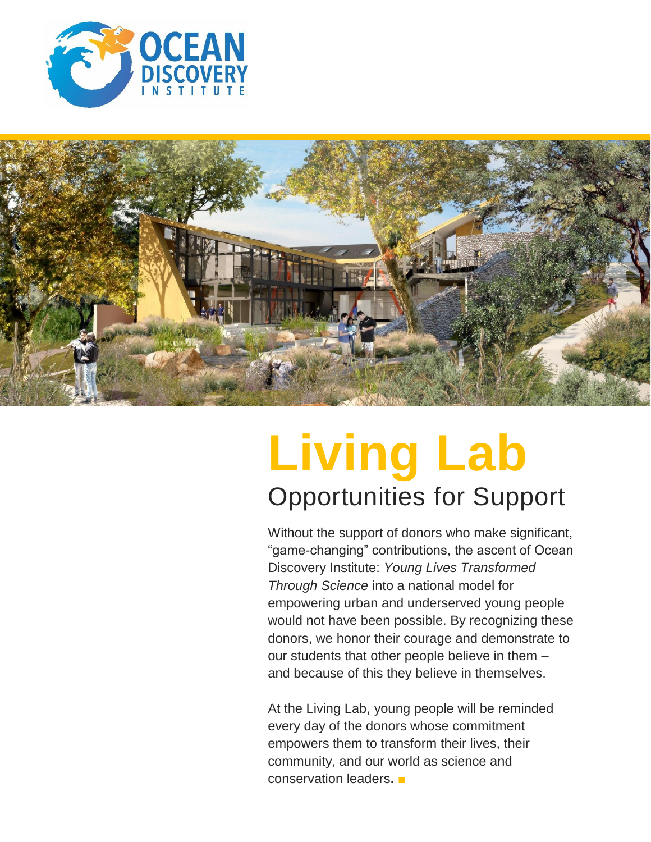



# **Living Lab** Opportunities for Support

Without the support of donors who make significant, "game-changing" contributions, the ascent of Ocean Discovery Institute: *Young Lives Transformed Through Science* into a national model for empowering urban and underserved young people would not have been possible. By recognizing these donors, we honor their courage and demonstrate to our students that other people believe in them – and because of this they believe in themselves.

At the Living Lab, young people will be reminded every day of the donors whose commitment empowers them to transform their lives, their community, and our world as science and conservation leaders**. ■**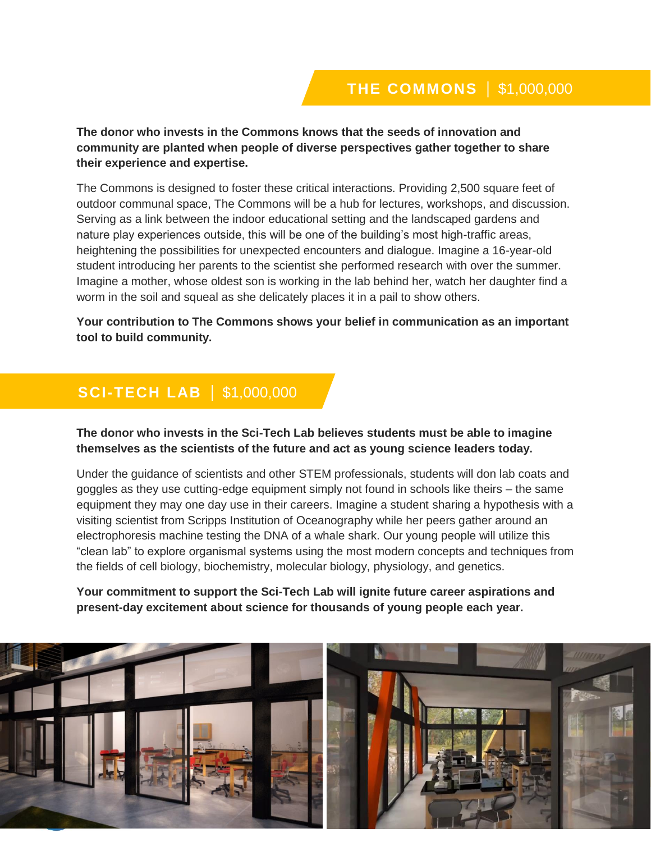**The donor who invests in the Commons knows that the seeds of innovation and community are planted when people of diverse perspectives gather together to share their experience and expertise.** 

The Commons is designed to foster these critical interactions. Providing 2,500 square feet of outdoor communal space, The Commons will be a hub for lectures, workshops, and discussion. Serving as a link between the indoor educational setting and the landscaped gardens and nature play experiences outside, this will be one of the building's most high-traffic areas, heightening the possibilities for unexpected encounters and dialogue. Imagine a 16-year-old student introducing her parents to the scientist she performed research with over the summer. Imagine a mother, whose oldest son is working in the lab behind her, watch her daughter find a worm in the soil and squeal as she delicately places it in a pail to show others.

**Your contribution to The Commons shows your belief in communication as an important tool to build community.**

## **SCI-TECH LAB** | \$1,000,000

**The donor who invests in the Sci-Tech Lab believes students must be able to imagine themselves as the scientists of the future and act as young science leaders today.**

Under the guidance of scientists and other STEM professionals, students will don lab coats and goggles as they use cutting-edge equipment simply not found in schools like theirs – the same equipment they may one day use in their careers. Imagine a student sharing a hypothesis with a visiting scientist from Scripps Institution of Oceanography while her peers gather around an electrophoresis machine testing the DNA of a whale shark. Our young people will utilize this "clean lab" to explore organismal systems using the most modern concepts and techniques from the fields of cell biology, biochemistry, molecular biology, physiology, and genetics.

**Your commitment to support the Sci-Tech Lab will ignite future career aspirations and present-day excitement about science for thousands of young people each year.**

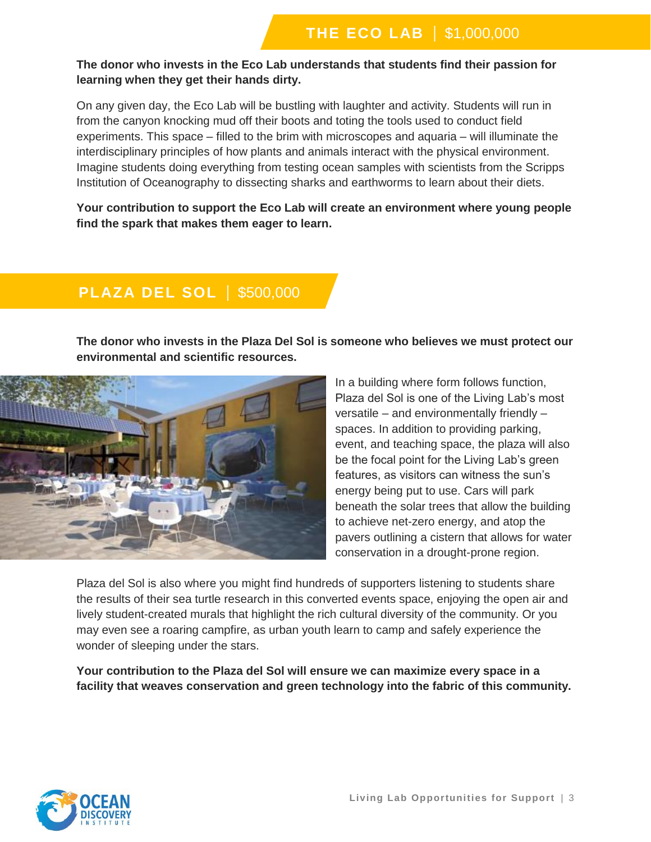#### **The donor who invests in the Eco Lab understands that students find their passion for learning when they get their hands dirty.**

On any given day, the Eco Lab will be bustling with laughter and activity. Students will run in from the canyon knocking mud off their boots and toting the tools used to conduct field experiments. This space – filled to the brim with microscopes and aquaria – will illuminate the interdisciplinary principles of how plants and animals interact with the physical environment. Imagine students doing everything from testing ocean samples with scientists from the Scripps Institution of Oceanography to dissecting sharks and earthworms to learn about their diets.

**Your contribution to support the Eco Lab will create an environment where young people find the spark that makes them eager to learn.**

## **PLAZA DEL SOL** | \$500,000

**The donor who invests in the Plaza Del Sol is someone who believes we must protect our environmental and scientific resources.**



In a building where form follows function, Plaza del Sol is one of the Living Lab's most versatile – and environmentally friendly – spaces. In addition to providing parking, event, and teaching space, the plaza will also be the focal point for the Living Lab's green features, as visitors can witness the sun's energy being put to use. Cars will park beneath the solar trees that allow the building to achieve net-zero energy, and atop the pavers outlining a cistern that allows for water conservation in a drought-prone region.

Plaza del Sol is also where you might find hundreds of supporters listening to students share the results of their sea turtle research in this converted events space, enjoying the open air and lively student-created murals that highlight the rich cultural diversity of the community. Or you may even see a roaring campfire, as urban youth learn to camp and safely experience the wonder of sleeping under the stars.

**Your contribution to the Plaza del Sol will ensure we can maximize every space in a facility that weaves conservation and green technology into the fabric of this community.**